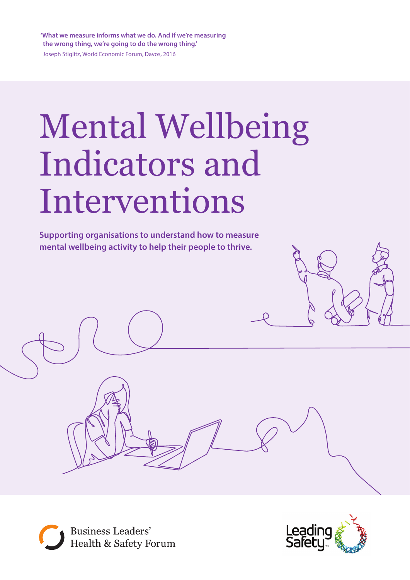**'What we measure informs what we do. And if we're measuring the wrong thing, we're going to do the wrong thing.'**  Joseph Stiglitz, World Economic Forum, Davos, 2016

# Mental Wellbeing Indicators and Interventions

**Supporting organisations to understand how to measure mental wellbeing activity to help their people to thrive.**



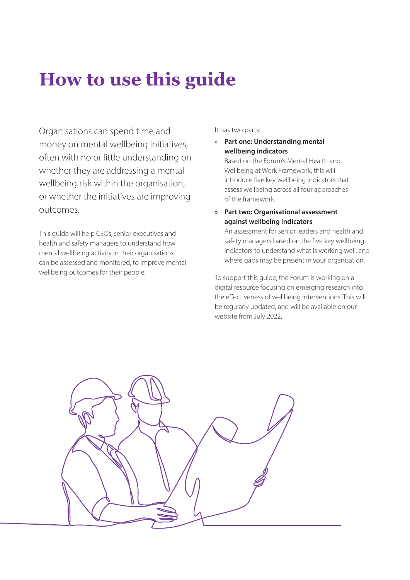# **How to use this guide**

Organisations can spend time and money on mental wellbeing initiatives, often with no or little understanding on whether they are addressing a mental wellbeing risk within the organisation, or whether the initiatives are improving outcomes.

This guide will help CEOs, senior executives and health and safety managers to understand how mental wellbeing activity in their organisations can be assessed and monitored, to improve mental wellbeing outcomes for their people.

It has two parts:

- » **Part one: Understanding mental wellbeing indicators** Based on the Forum's Mental Health and Wellbeing at Work Framework, this will introduce five key wellbeing indicators that assess wellbeing across all four approaches of the framework.
- » **Part two: Organisational assessment against wellbeing indicators**

An assessment for senior leaders and health and safety managers based on the five key wellbeing indicators to understand what is working well, and where gaps may be present in your organisation.

To support this guide, the Forum is working on a digital resource focusing on emerging research into the effectiveness of wellbeing interventions. This will be regularly updated, and will be available on our website from July 2022.

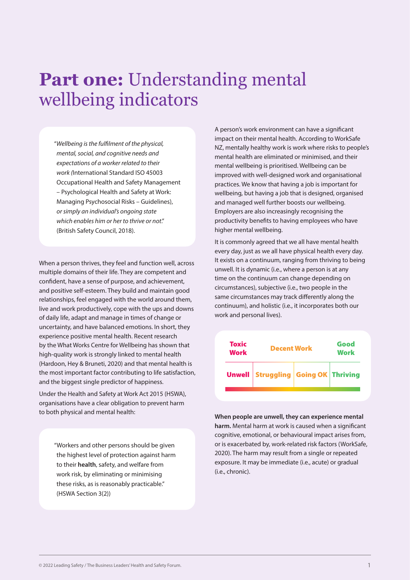### **Part one:** Understanding mental wellbeing indicators

"*Wellbeing is the fulfilment of the physical, mental, social, and cognitive needs and expectations of a worker related to their work (*International Standard ISO 45003 Occupational Health and Safety Management – Psychological Health and Safety at Work: Managing Psychosocial Risks – Guidelines), *or simply an individual's ongoing state which enables him or her to thrive or not*." (British Safety Council, 2018).

When a person thrives, they feel and function well, across multiple domains of their life. They are competent and confident, have a sense of purpose, and achievement, and positive self-esteem. They build and maintain good relationships, feel engaged with the world around them, live and work productively, cope with the ups and downs of daily life, adapt and manage in times of change or uncertainty, and have balanced emotions. In short, they experience positive mental health. Recent research by the What Works Centre for Wellbeing has shown that high-quality work is strongly linked to mental health (Hardoon, Hey & Bruneti, 2020) and that mental health is the most important factor contributing to life satisfaction, and the biggest single predictor of happiness.

Under the Health and Safety at Work Act 2015 (HSWA), organisations have a clear obligation to prevent harm to both physical and mental health:

> "Workers and other persons should be given the highest level of protection against harm to their **health**, safety, and welfare from work risk, by eliminating or minimising these risks, as is reasonably practicable." (HSWA Section 3(2))

A person's work environment can have a significant impact on their mental health. According to WorkSafe NZ, mentally healthy work is work where risks to people's mental health are eliminated or minimised, and their mental wellbeing is prioritised. Wellbeing can be improved with well-designed work and organisational practices. We know that having a job is important for wellbeing, but having a job that is designed, organised and managed well further boosts our wellbeing. Employers are also increasingly recognising the productivity benefits to having employees who have higher mental wellbeing.

It is commonly agreed that we all have mental health every day, just as we all have physical health every day. It exists on a continuum, ranging from thriving to being unwell. It is dynamic (i.e., where a person is at any time on the continuum can change depending on circumstances), subjective (i.e., two people in the same circumstances may track differently along the continuum), and holistic (i.e., it incorporates both our work and personal lives).



**When people are unwell, they can experience mental harm.** Mental harm at work is caused when a significant cognitive, emotional, or behavioural impact arises from, or is exacerbated by, work-related risk factors (WorkSafe, 2020). The harm may result from a single or repeated exposure. It may be immediate (i.e., acute) or gradual (i.e., chronic).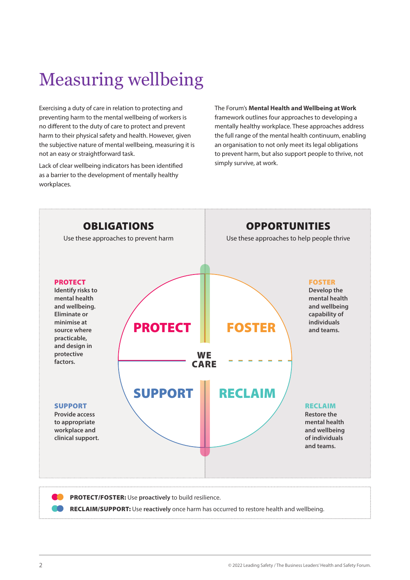# Measuring wellbeing

Exercising a duty of care in relation to protecting and preventing harm to the mental wellbeing of workers is no different to the duty of care to protect and prevent harm to their physical safety and health. However, given the subjective nature of mental wellbeing, measuring it is not an easy or straightforward task.

Lack of clear wellbeing indicators has been identified as a barrier to the development of mentally healthy workplaces.

The Forum's **[Mental Health and Wellbeing at Work](https://www.forum.org.nz/resources/ceo-guide-mental-wellbeing/)** framework outlines four approaches to developing a mentally healthy workplace. These approaches address the full range of the mental health continuum, enabling an organisation to not only meet its legal obligations to prevent harm, but also support people to thrive, not simply survive, at work.



RECLAIM/SUPPORT: Use **reactively** once harm has occurred to restore health and wellbeing.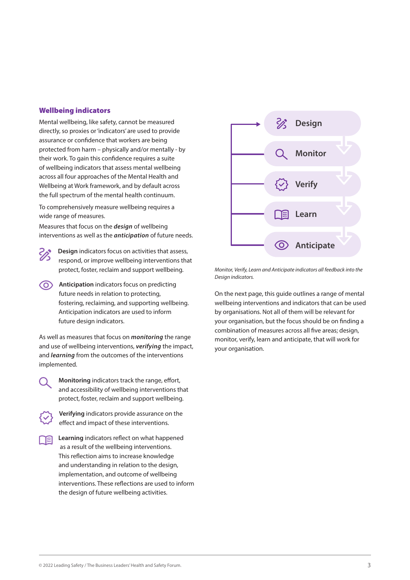#### Wellbeing indicators

Mental wellbeing, like safety, cannot be measured directly, so proxies or 'indicators' are used to provide assurance or confidence that workers are being protected from harm – physically and/or mentally - by their work. To gain this confidence requires a suite of wellbeing indicators that assess mental wellbeing across all four approaches of the Mental Health and Wellbeing at Work framework, and by default across the full spectrum of the mental health continuum.

To comprehensively measure wellbeing requires a wide range of measures.

Measures that focus on the *design* of wellbeing interventions as well as the *anticipation* of future needs.

**Design** indicators focus on activities that assess, respond, or improve wellbeing interventions that protect, foster, reclaim and support wellbeing.

**Anticipation** indicators focus on predicting future needs in relation to protecting, fostering, reclaiming, and supporting wellbeing. Anticipation indicators are used to inform future design indicators.

As well as measures that focus on *monitoring* the range and use of wellbeing interventions, *verifying* the impact, and *learning* from the outcomes of the interventions implemented.





**Verifying** indicators provide assurance on the effect and impact of these interventions.

**Learning** indicators reflect on what happened as a result of the wellbeing interventions. This reflection aims to increase knowledge and understanding in relation to the design, implementation, and outcome of wellbeing interventions. These reflections are used to inform the design of future wellbeing activities.



*Monitor, Verify, Learn and Anticipate indicators all feedback into the Design indicators.*

On the next page, this guide outlines a range of mental wellbeing interventions and indicators that can be used by organisations. Not all of them will be relevant for your organisation, but the focus should be on finding a combination of measures across all five areas; design, monitor, verify, learn and anticipate, that will work for your organisation.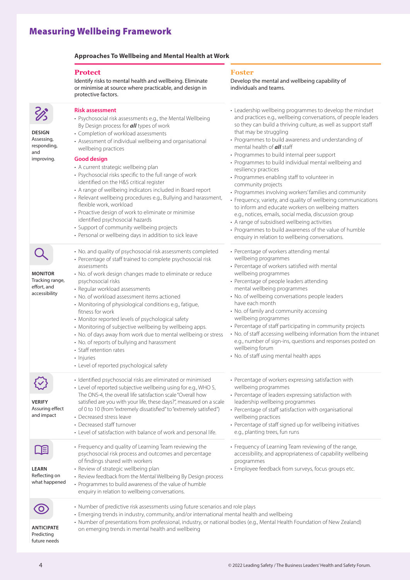#### **Approaches To Wellbeing and Mental Health at Work**

#### **Protect**

Identify risks to mental health and wellbeing. Eliminate or minimise at source where practicable, and design in protective factors.

**DESIGN**  Assessing, responding, and improving.

- **Risk assessment** • Psychosocial risk assessments e.g., the Mental Wellbeing By Design process for *all* types of work • Completion of workload assessments
- Assessment of individual wellbeing and organisational wellbeing practices

#### **Good design**

- A current strategic wellbeing plan
- Psychosocial risks specific to the full range of work identified on the H&S critical register
- 
- Relevant wellbeing procedures e.g., Bullying and harassment, flexible work, workload
- Proactive design of work to eliminate or minimise identified psychosocial hazards
- Support of community wellbeing projects
- Personal or wellbeing days in addition to sick leave
- 

#### **MONITOR** Tracking range, effort, and accessibility

• A range of wellbeing indicators included in Board report community projects • Programmes involving workers' families and community • Frequency, variety, and quality of wellbeing communications to inform and educate workers on wellbeing matters e.g., notices, emails, social media, discussion group • A range of subsidised wellbeing activities • Programmes to build awareness of the value of humble enquiry in relation to wellbeing conversations. • No. and quality of psychosocial risk assessments completed • Percentage of staff trained to complete psychosocial risk assessments • No. of work design changes made to eliminate or reduce psychosocial risks • Regular workload assessments • No. of workload assessment items actioned • Monitoring of physiological conditions e.g., fatigue, fitness for work • Monitor reported levels of psychological safety • Monitoring of subjective wellbeing by wellbeing apps. • No. of days away from work due to mental wellbeing or stress • Percentage of workers attending mental wellbeing programmes • Percentage of workers satisfied with mental wellbeing programmes • Percentage of people leaders attending mental wellbeing programmes • No. of wellbeing conversations people leaders have each month • No. of family and community accessing wellbeing programmes • Percentage of staff participating in community projects • No. of staff accessing wellbeing information from the intranet

**Foster**

individuals and teams.

that may be struggling

mental health of *all* staff

resiliency practices

wellbeing forum

wellbeing programmes

wellbeing practices

programmes

e.g., planting trees, fun runs

• No. of staff using mental health apps

leadership wellbeing programmes

Develop the mental and wellbeing capability of

• Leadership wellbeing programmes to develop the mindset and practices e.g., wellbeing conversations, of people leaders so they can build a thriving culture, as well as support staff

• Programmes to build awareness and understanding of

• Programmes to build individual mental wellbeing and

e.g., number of sign-ins, questions and responses posted on

• Percentage of workers expressing satisfaction with

• Percentage of leaders expressing satisfaction with

• Percentage of staff satisfaction with organisational

• Percentage of staff signed up for wellbeing initiatives

• Frequency of Learning Team reviewing of the range, accessibility, and appropriateness of capability wellbeing

• Employee feedback from surveys, focus groups etc.

• Programmes to build internal peer support

• Programmes enabling staff to volunteer in

• No. of reports of bullying and harassment

• Identified psychosocial risks are eliminated or minimised • Level of reported subjective wellbeing using for e.g., WHO 5, The ONS-4, the overall life satisfaction scale "Overall how satisfied are you with your life, these days?", measured on a scale of 0 to 10 (from "extremely dissatisfied" to "extremely satisfied")

• Level of satisfaction with balance of work and personal life.

• Review feedback from the Mental Wellbeing By Design process • Programmes to build awareness of the value of humble enquiry in relation to wellbeing conversations.

• Frequency and quality of Learning Team reviewing the psychosocial risk process and outcomes and percentage

• Staff retention rates

• Decreased stress leave • Decreased staff turnover

- Injuries
- Level of reported psychological safety

of findings shared with workers • Review of strategic wellbeing plan

- 
- **VERIFY**

Assuring effect and impact

### **LEARN**

#### Reflecting on what happened

- **O**
- Number of predictive risk assessments using future scenarios and role plays
- Emerging trends in industry, community, and/or international mental health and wellbeing
- Number of presentations from professional, industry, or national bodies (e.g., Mental Health Foundation of New Zealand) on emerging trends in mental health and wellbeing

#### **ANTICIPATE**  Predicting future needs

4 © 2022 Leading Safety / The Business Leaders' Health and Safety Forum.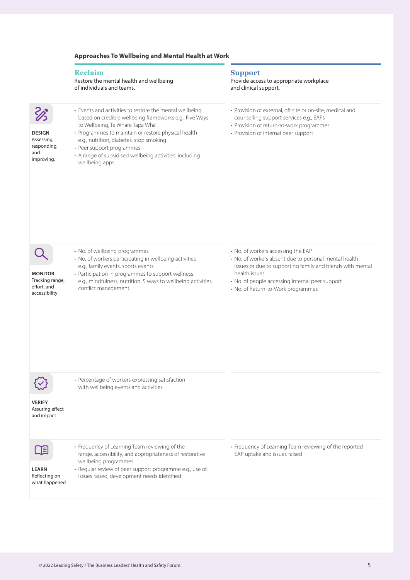#### **Approaches To Wellbeing and Mental Health at Work**

#### **Reclaim**

and

Restore the mental health and wellbeing of individuals and teams.

#### **Support**

Provide access to appropriate workplace and clinical support.

**DESIGN**  Assessing, responding, improving. • Events and activities to restore the mental wellbeing based on credible wellbeing frameworks e.g., Five Ways to Wellbeing, Te Whare Tapa Whā • Programmes to maintain or restore physical health e.g., nutrition, diabetes, stop smoking • Peer support programmes • A range of subsidised wellbeing activities, including wellbeing apps. • Provision of external, off site or on-site, medical and counselling support services e.g., EAPs • Provision of return-to-work programmes • Provision of internal peer support **MONITOR** Tracking range, effort, and accessibility • No. of wellbeing programmes • No. of workers participating in wellbeing activities e.g., family events, sports events • Participation in programmes to support wellness e.g., mindfulness, nutrition, 5 ways to wellbeing activities, conflict management • No. of workers accessing the EAP • No. of workers absent due to personal mental health issues or due to supporting family and friends with mental health issues • No. of people accessing internal peer support • No. of Return-to-Work programmes **VERIFY** Assuring effect and impact • Percentage of workers expressing satisfaction with wellbeing events and activities **LEARN** Reflecting on what happened • Frequency of Learning Team reviewing of the range, accessibility, and appropriateness of restorative wellbeing programmes • Regular review of peer support programme e.g., use of, issues raised, development needs identified • Frequency of Learning Team reviewing of the reported EAP uptake and issues raised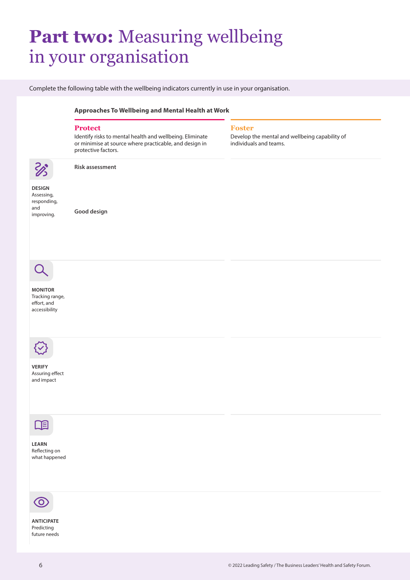## **Part two:** Measuring wellbeing in your organisation

Complete the following table with the wellbeing indicators currently in use in your organisation.

#### **Approaches To Wellbeing and Mental Health at Work**

#### **Protect**

Identify risks to mental health and wellbeing. Eliminate or minimise at source where practicable, and design in protective factors.

#### **Foster**

Develop the mental and wellbeing capability of individuals and teams.



**Risk assessment**

**DESIGN**  Assessing, responding, and improving.

**Good design** 



**MONITOR** Tracking range, effort, and accessibility

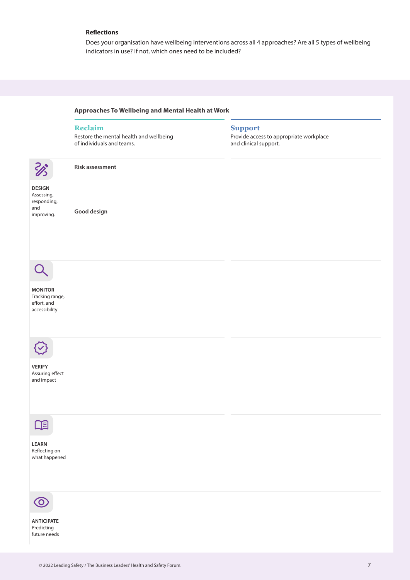#### **Reflections**

Does your organisation have wellbeing interventions across all 4 approaches? Are all 5 types of wellbeing indicators in use? If not, which ones need to be included?

#### **Approaches To Wellbeing and Mental Health at Work**

#### **Reclaim**

Restore the mental health and wellbeing of individuals and teams.

#### **Support**

Provide access to appropriate workplace and clinical support.



**Risk assessment**

**DESIGN**  Assessing, responding, and improving.

**Good design**

**MONITOR** Tracking range, effort, and accessibility

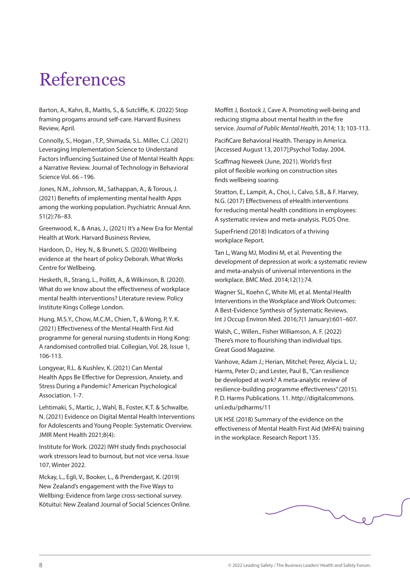### References

Barton, A., Kahn, B., Maitlis, S., & Sutcliffe, K. (2022) Stop framing progams around self-care. Harvard Business Review, April.

Connolly, S., Hogan , T.P., Shimada, S.L. Miller, C.J. (2021) Leveraging Implementation Science to Understand Factors Influencing Sustained Use of Mental Health Apps: a Narrative Review. Journal of Technology in Behavioral Science Vol. 66 –196.

Jones, N.M., Johnson, M., Sathappan, A., & Torous, J. (2021) Benefits of implementing mental health Apps among the working population. Psychiatric Annual Ann. 51(2):76–83.

Greenwood, K., & Anas, J., (2021) It's a New Era for Mental Health at Work. Harvard Business Review,

Hardoon, D., Hey, N., & Bruneti, S. (2020) Wellbeing evidence at the heart of policy Deborah. What Works Centre for Wellbeing.

Hesketh, R., Strang, L., Pollitt, A., & Wilkinson, B. (2020). What do we know about the effectiveness of workplace mental health interventions? Literature review. Policy Institute Kings College London.

Hung, M.S.Y., Chow, M.C.M., Chien, T., & Wong, P, Y. K. (2021) Effectiveness of the Mental Health First Aid programme for general nursing students in Hong Kong: A randomised controlled trial. Collegian, Vol. 28, Issue 1, 106-113.

Longyear, R.L. & Kushlev, K. (2021) Can Mental Health Apps Be Effective for Depression, Anxiety, and Stress During a Pandemic? American Psychological Association. 1-7.

Lehtimaki, S., Martic, J., Wahl, B., Foster, K.T. & Schwalbe, N. (2021) Evidence on Digital Mental Health Interventions for Adolescents and Young People: Systematic Overview. JMIR Ment Health 2021;8(4):

Institute for Work. (2022) IWH study finds psychosocial work stressors lead to burnout, but not vice versa. Issue 107, Winter 2022.

Mckay, L., Egli, V., Booker, L., & Prendergast, K. (2019) New Zealand's engagement with the Five Ways to Wellbing: Evidence from large cross-sectional survey. Kōtuitui: New Zealand Journal of Social Sciences Online. Moffitt J, Bostock J, Cave A. [Promoting well-being and](http://www.emeraldinsight.com/journals.htm?articleid=17112960)  reducing stigma about mental health in the fire [service](http://www.emeraldinsight.com/journals.htm?articleid=17112960). *Journal of Public Mental Health*, 2014; 13; 103-113.

PacifiCare Behavioral Health. Therapy in America. [Accessed August 13, 2017];Psychol Today. 2004.

Scaffmag Neweek (June, 2021). World's first pilot of flexible working on construction sites finds wellbeing soaring.

Stratton, E., Lampit, A., Choi, I., Calvo, S.B., & F. Harvey, N.G. (2017) Effectiveness of eHealth interventions for reducing mental health conditions in employees: A systematic review and meta-analysis. PLOS One.

SuperFriend (2018) Indicators of a thriving workplace Report.

Tan L, Wang MJ, Modini M, et al. Preventing the development of depression at work: a systematic review and meta-analysis of universal interventions in the workplace. BMC Med. 2014;12(1):74.

Wagner SL, Koehn C, White MI, et al. Mental Health Interventions in the Workplace and Work Outcomes: A Best-Evidence Synthesis of Systematic Reviews. Int J Occup Environ Med. 2016;7(1 January):601–607.

Walsh, C., Willen., Fisher Williamson, A. F. (2022) There's more to flourishing than individual tips. Great Good Magazine.

Vanhove, Adam J.; Herian, Mitchel; Perez, Alycia L. U.; Harms, Peter D.; and Lester, Paul B., "Can resilience be developed at work? A meta-analytic review of resilience-building programme effectiveness" (2015). P. D. Harms Publications. 11. [http://digitalcommons.](http://digitalcommons.unl.edu/pdharms/11) [unl.edu/pdharms/11](http://digitalcommons.unl.edu/pdharms/11)

UK HSE (2018) Summary of the evidence on the effectiveness of Mental Health First Aid (MHFA) training in the workplace. Research Report 135.

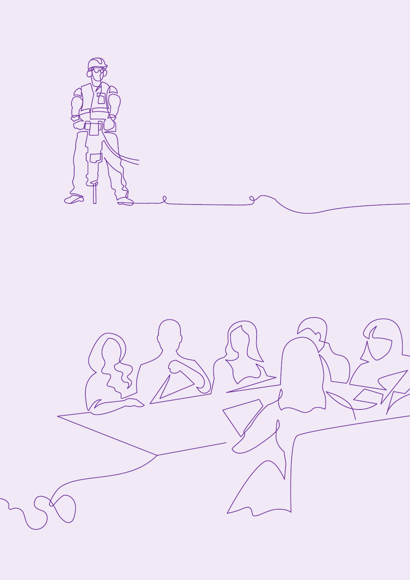